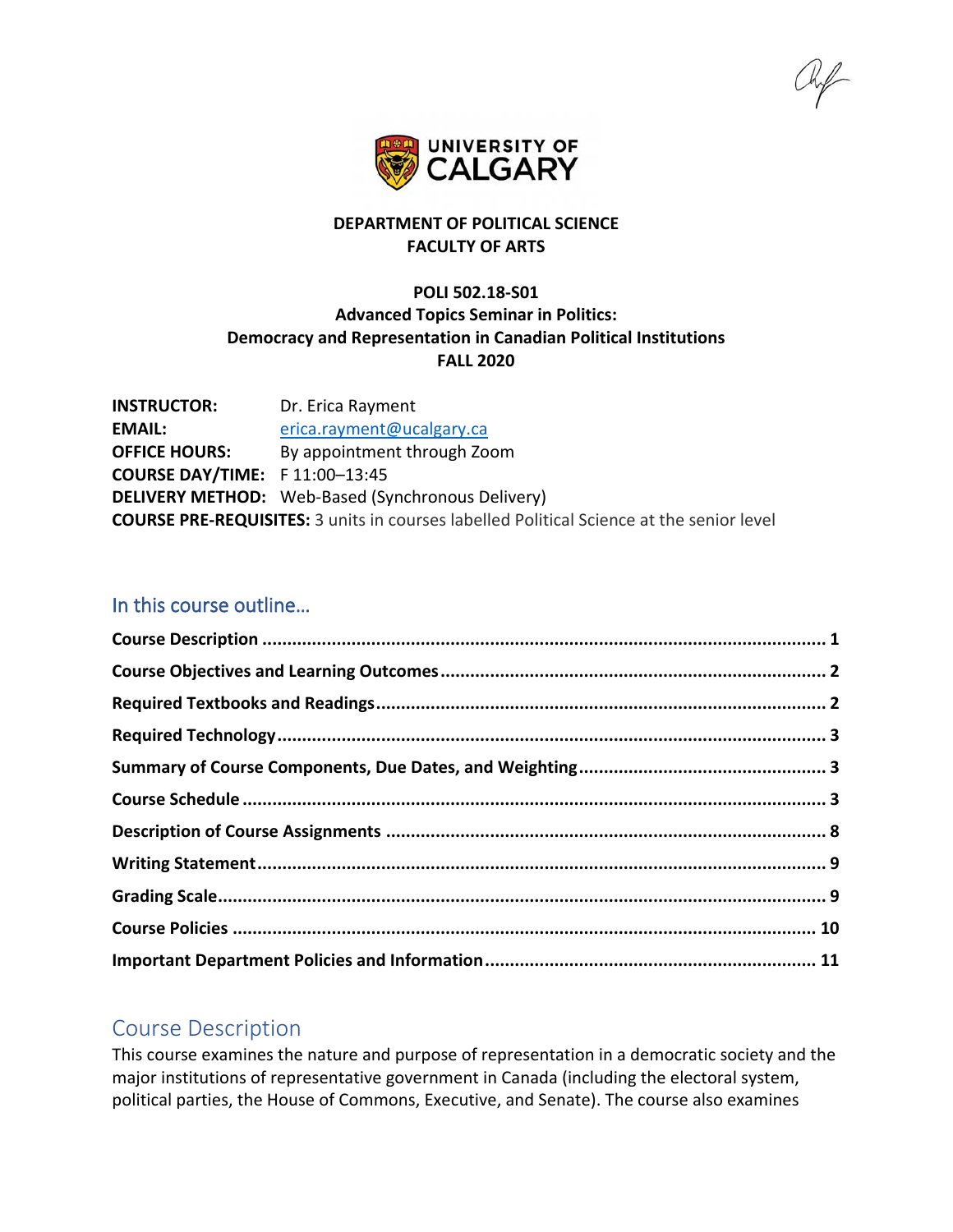

# **DEPARTMENT OF POLITICAL SCIENCE FACULTY OF ARTS**

# **POLI 502.18-S01 Advanced Topics Seminar in Politics: Democracy and Representation in Canadian Political Institutions FALL 2020**

| <b>INSTRUCTOR:</b>                                                                              | Dr. Erica Rayment                                        |  |  |  |
|-------------------------------------------------------------------------------------------------|----------------------------------------------------------|--|--|--|
| <b>EMAIL:</b>                                                                                   | erica.rayment@ucalgary.ca                                |  |  |  |
| <b>OFFICE HOURS:</b>                                                                            | By appointment through Zoom                              |  |  |  |
| <b>COURSE DAY/TIME:</b> F 11:00-13:45                                                           |                                                          |  |  |  |
|                                                                                                 | <b>DELIVERY METHOD:</b> Web-Based (Synchronous Delivery) |  |  |  |
| <b>COURSE PRE-REQUISITES:</b> 3 units in courses labelled Political Science at the senior level |                                                          |  |  |  |

# In this course outline…

# <span id="page-0-0"></span>Course Description

This course examines the nature and purpose of representation in a democratic society and the major institutions of representative government in Canada (including the electoral system, political parties, the House of Commons, Executive, and Senate). The course also examines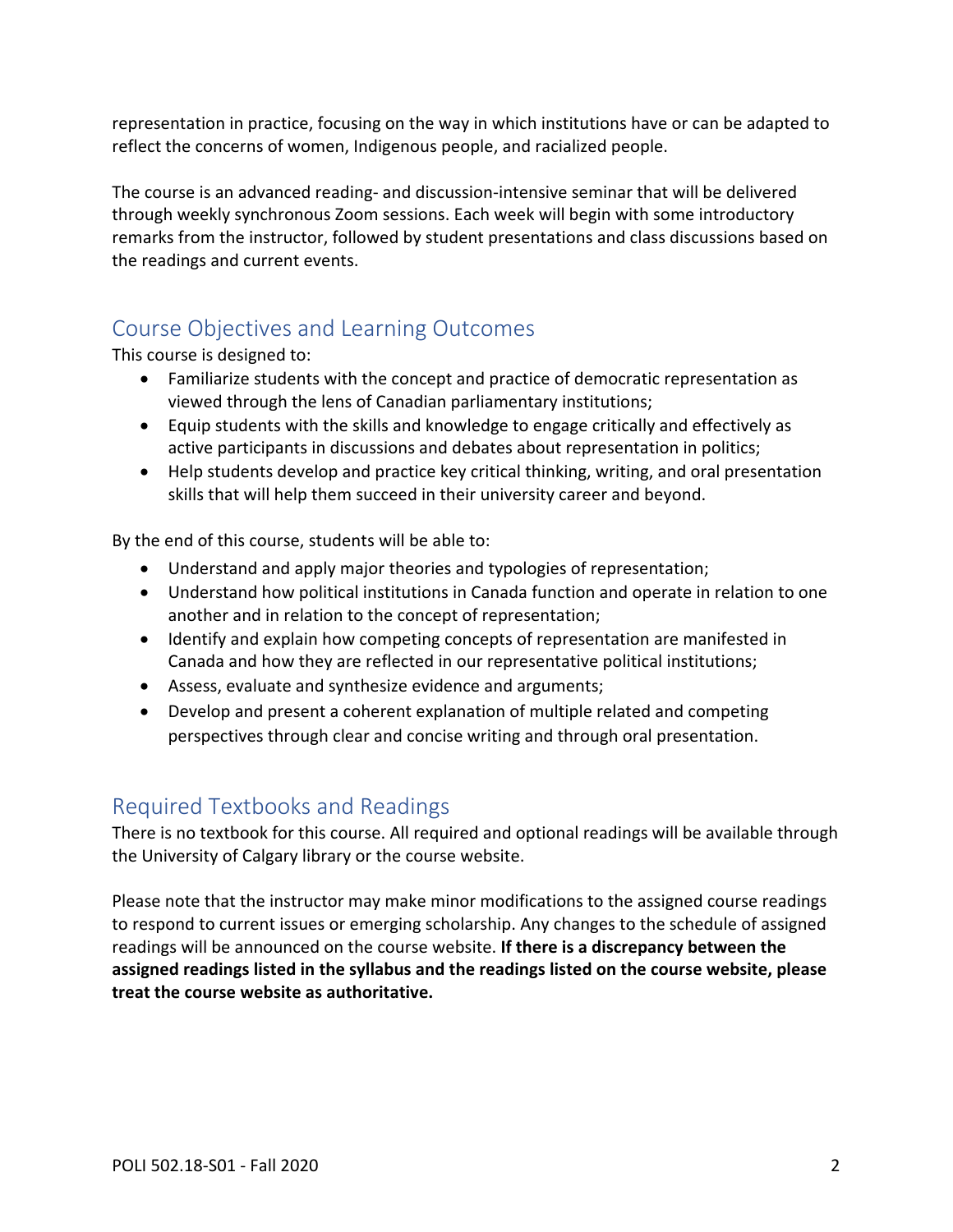representation in practice, focusing on the way in which institutions have or can be adapted to reflect the concerns of women, Indigenous people, and racialized people.

The course is an advanced reading- and discussion-intensive seminar that will be delivered through weekly synchronous Zoom sessions. Each week will begin with some introductory remarks from the instructor, followed by student presentations and class discussions based on the readings and current events.

# <span id="page-1-0"></span>Course Objectives and Learning Outcomes

This course is designed to:

- Familiarize students with the concept and practice of democratic representation as viewed through the lens of Canadian parliamentary institutions;
- Equip students with the skills and knowledge to engage critically and effectively as active participants in discussions and debates about representation in politics;
- Help students develop and practice key critical thinking, writing, and oral presentation skills that will help them succeed in their university career and beyond.

By the end of this course, students will be able to:

- Understand and apply major theories and typologies of representation;
- Understand how political institutions in Canada function and operate in relation to one another and in relation to the concept of representation;
- Identify and explain how competing concepts of representation are manifested in Canada and how they are reflected in our representative political institutions;
- Assess, evaluate and synthesize evidence and arguments;
- Develop and present a coherent explanation of multiple related and competing perspectives through clear and concise writing and through oral presentation.

# <span id="page-1-1"></span>Required Textbooks and Readings

There is no textbook for this course. All required and optional readings will be available through the University of Calgary library or the course website.

Please note that the instructor may make minor modifications to the assigned course readings to respond to current issues or emerging scholarship. Any changes to the schedule of assigned readings will be announced on the course website. **If there is a discrepancy between the assigned readings listed in the syllabus and the readings listed on the course website, please treat the course website as authoritative.**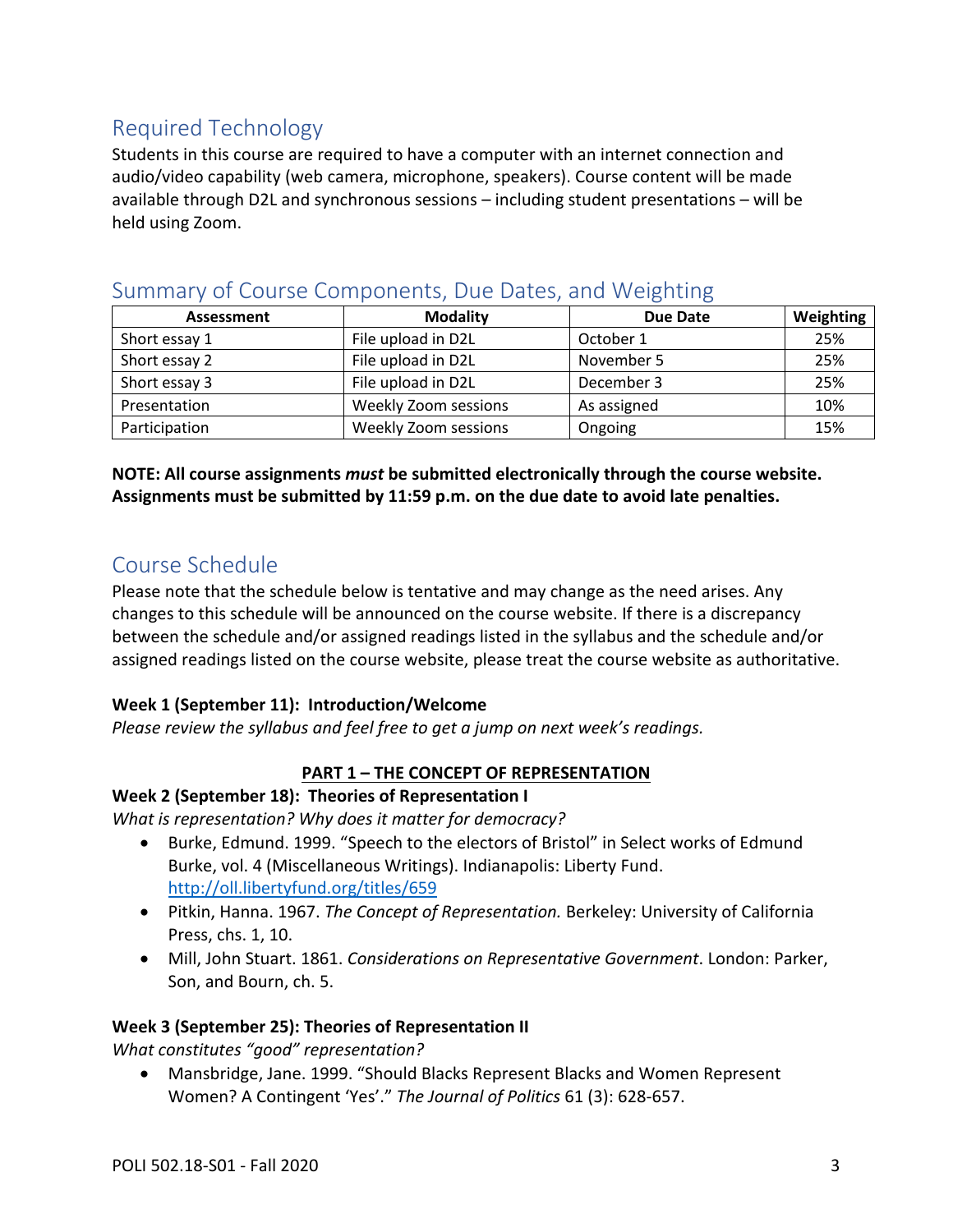# <span id="page-2-0"></span>Required Technology

Students in this course are required to have a computer with an internet connection and audio/video capability (web camera, microphone, speakers). Course content will be made available through D2L and synchronous sessions – including student presentations – will be held using Zoom.

| Assessment    | <b>Modality</b>             | <b>Due Date</b> | Weighting |
|---------------|-----------------------------|-----------------|-----------|
| Short essay 1 | File upload in D2L          | October 1       | 25%       |
| Short essay 2 | File upload in D2L          | November 5      | 25%       |
| Short essay 3 | File upload in D2L          | December 3      | 25%       |
| Presentation  | Weekly Zoom sessions        | As assigned     | 10%       |
| Participation | <b>Weekly Zoom sessions</b> | Ongoing         | 15%       |

# <span id="page-2-1"></span>Summary of Course Components, Due Dates, and Weighting

## **NOTE: All course assignments** *must* **be submitted electronically through the course website. Assignments must be submitted by 11:59 p.m. on the due date to avoid late penalties.**

# <span id="page-2-2"></span>Course Schedule

Please note that the schedule below is tentative and may change as the need arises. Any changes to this schedule will be announced on the course website. If there is a discrepancy between the schedule and/or assigned readings listed in the syllabus and the schedule and/or assigned readings listed on the course website, please treat the course website as authoritative.

## **Week 1 (September 11): Introduction/Welcome**

*Please review the syllabus and feel free to get a jump on next week's readings.*

# **PART 1 – THE CONCEPT OF REPRESENTATION**

## **Week 2 (September 18): Theories of Representation I**

*What is representation? Why does it matter for democracy?*

- Burke, Edmund. 1999. "Speech to the electors of Bristol" in Select works of Edmund Burke, vol. 4 (Miscellaneous Writings). Indianapolis: Liberty Fund. <http://oll.libertyfund.org/titles/659>
- Pitkin, Hanna. 1967. *The Concept of Representation.* Berkeley: University of California Press, chs. 1, 10.
- Mill, John Stuart. 1861. *Considerations on Representative Government*. London: Parker, Son, and Bourn, ch. 5.

## **Week 3 (September 25): Theories of Representation II**

*What constitutes "good" representation?*

• Mansbridge, Jane. 1999. "Should Blacks Represent Blacks and Women Represent Women? A Contingent 'Yes'." *The Journal of Politics* 61 (3): 628-657.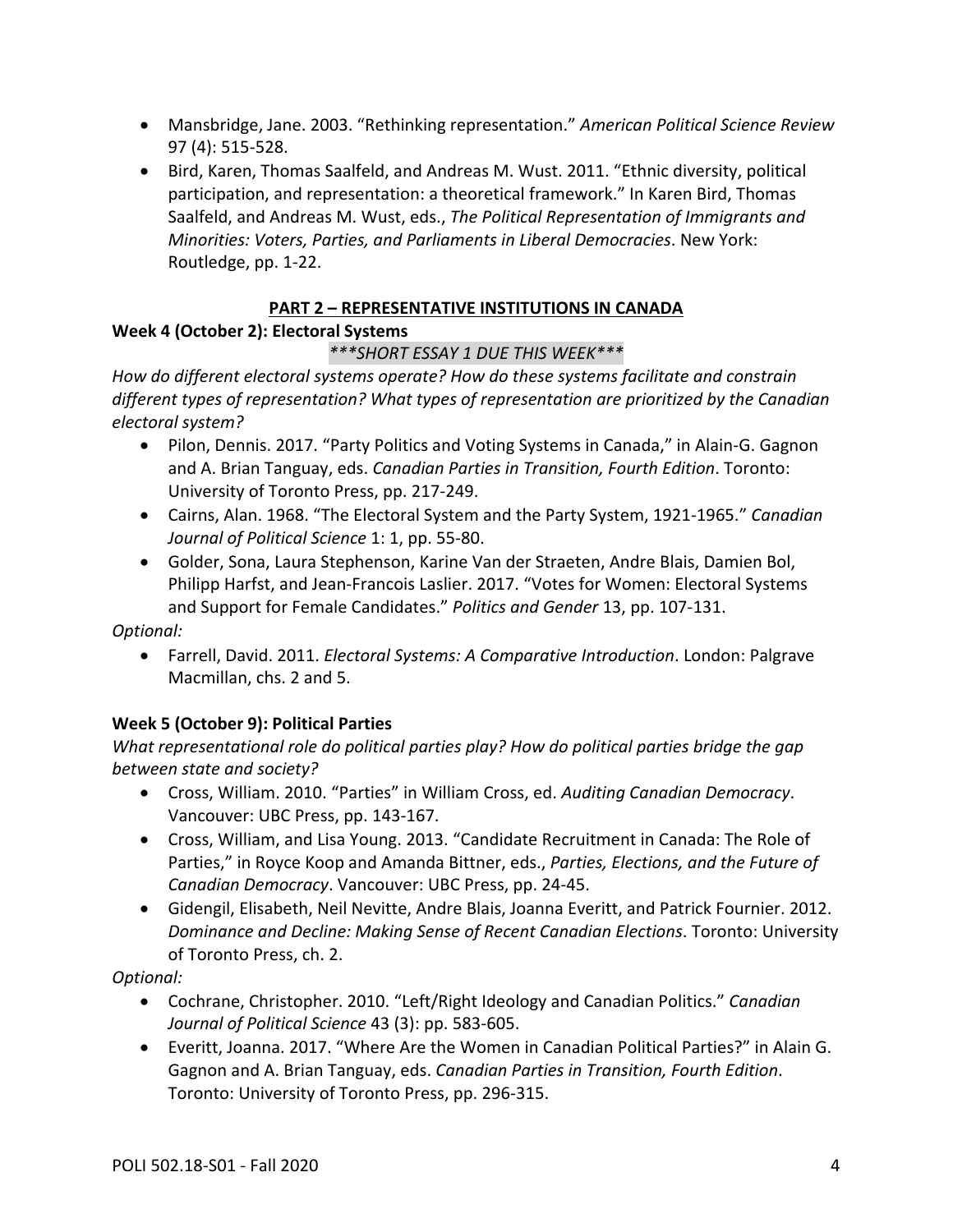- Mansbridge, Jane. 2003. "Rethinking representation." *American Political Science Review*  97 (4): 515-528.
- Bird, Karen, Thomas Saalfeld, and Andreas M. Wust. 2011. "Ethnic diversity, political participation, and representation: a theoretical framework." In Karen Bird, Thomas Saalfeld, and Andreas M. Wust, eds., *The Political Representation of Immigrants and Minorities: Voters, Parties, and Parliaments in Liberal Democracies*. New York: Routledge, pp. 1-22.

# **PART 2 – REPRESENTATIVE INSTITUTIONS IN CANADA**

# **Week 4 (October 2): Electoral Systems**

# *\*\*\*SHORT ESSAY 1 DUE THIS WEEK\*\*\**

*How do different electoral systems operate? How do these systems facilitate and constrain different types of representation? What types of representation are prioritized by the Canadian electoral system?*

- Pilon, Dennis. 2017. "Party Politics and Voting Systems in Canada," in Alain-G. Gagnon and A. Brian Tanguay, eds. *Canadian Parties in Transition, Fourth Edition*. Toronto: University of Toronto Press, pp. 217-249.
- Cairns, Alan. 1968. "The Electoral System and the Party System, 1921-1965." *Canadian Journal of Political Science* 1: 1, pp. 55-80.
- Golder, Sona, Laura Stephenson, Karine Van der Straeten, Andre Blais, Damien Bol, Philipp Harfst, and Jean-Francois Laslier. 2017. "Votes for Women: Electoral Systems and Support for Female Candidates." *Politics and Gender* 13, pp. 107-131.

## *Optional:*

• Farrell, David. 2011. *Electoral Systems: A Comparative Introduction*. London: Palgrave Macmillan, chs. 2 and 5.

# **Week 5 (October 9): Political Parties**

*What representational role do political parties play? How do political parties bridge the gap between state and society?*

- Cross, William. 2010. "Parties" in William Cross, ed. *Auditing Canadian Democracy*. Vancouver: UBC Press, pp. 143-167.
- Cross, William, and Lisa Young. 2013. "Candidate Recruitment in Canada: The Role of Parties," in Royce Koop and Amanda Bittner, eds., *Parties, Elections, and the Future of Canadian Democracy*. Vancouver: UBC Press, pp. 24-45.
- Gidengil, Elisabeth, Neil Nevitte, Andre Blais, Joanna Everitt, and Patrick Fournier. 2012. *Dominance and Decline: Making Sense of Recent Canadian Elections*. Toronto: University of Toronto Press, ch. 2.

## *Optional:*

- Cochrane, Christopher. 2010. "Left/Right Ideology and Canadian Politics." *Canadian Journal of Political Science* 43 (3): pp. 583-605.
- Everitt, Joanna. 2017. "Where Are the Women in Canadian Political Parties?" in Alain G. Gagnon and A. Brian Tanguay, eds. *Canadian Parties in Transition, Fourth Edition*. Toronto: University of Toronto Press, pp. 296-315.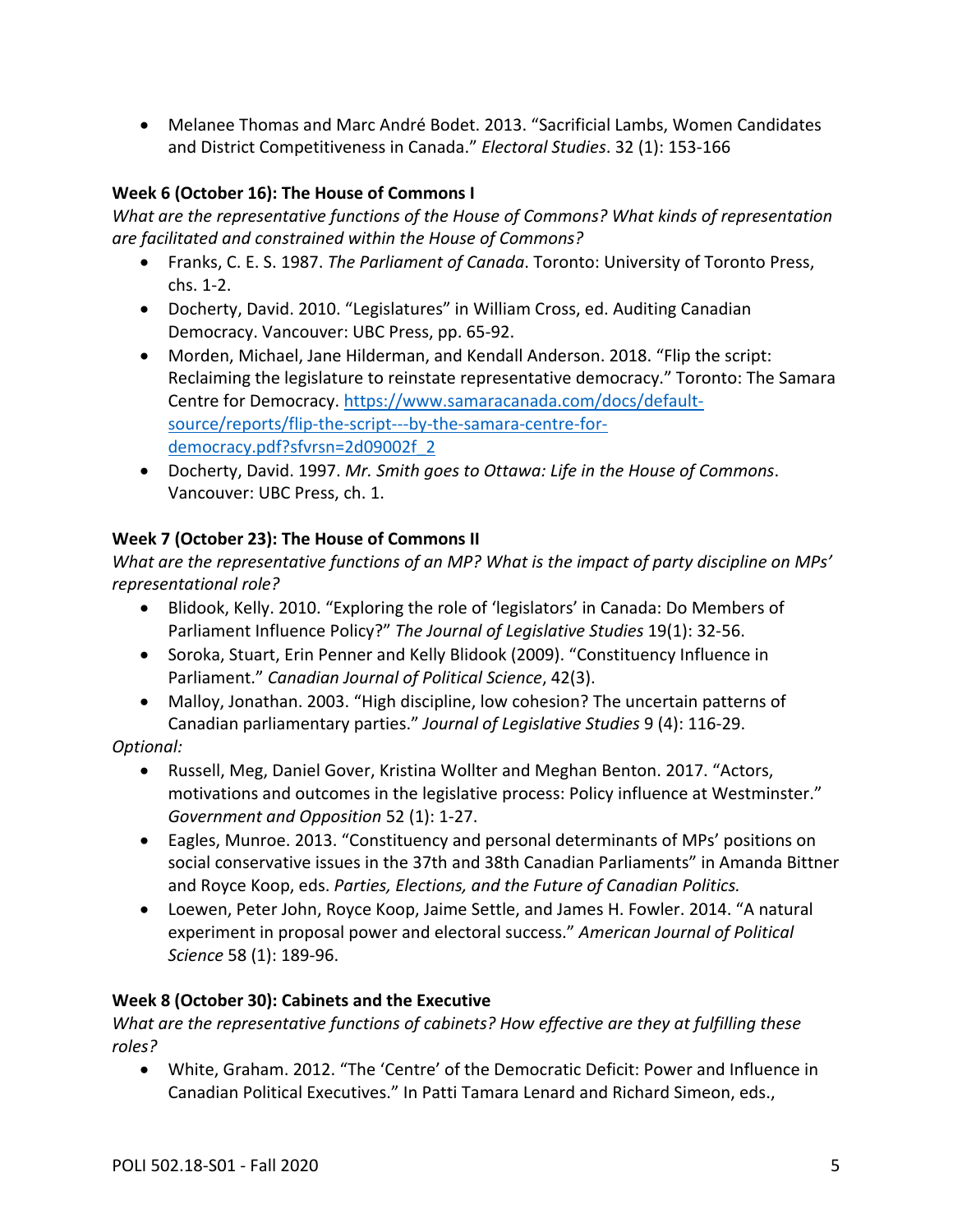• Melanee Thomas and Marc André Bodet. 2013. "Sacrificial Lambs, Women Candidates and District Competitiveness in Canada." *Electoral Studies*. 32 (1): 153-166

# **Week 6 (October 16): The House of Commons I**

*What are the representative functions of the House of Commons? What kinds of representation are facilitated and constrained within the House of Commons?*

- Franks, C. E. S. 1987. *The Parliament of Canada*. Toronto: University of Toronto Press, chs. 1-2.
- Docherty, David. 2010. "Legislatures" in William Cross, ed. Auditing Canadian Democracy. Vancouver: UBC Press, pp. 65-92.
- Morden, Michael, Jane Hilderman, and Kendall Anderson. 2018. "Flip the script: Reclaiming the legislature to reinstate representative democracy." Toronto: The Samara Centre for Democracy. [https://www.samaracanada.com/docs/default](https://www.samaracanada.com/docs/default-source/reports/flip-the-script---by-the-samara-centre-for-democracy.pdf?sfvrsn=2d09002f_2)[source/reports/flip-the-script---by-the-samara-centre-for](https://www.samaracanada.com/docs/default-source/reports/flip-the-script---by-the-samara-centre-for-democracy.pdf?sfvrsn=2d09002f_2)[democracy.pdf?sfvrsn=2d09002f\\_2](https://www.samaracanada.com/docs/default-source/reports/flip-the-script---by-the-samara-centre-for-democracy.pdf?sfvrsn=2d09002f_2)
- Docherty, David. 1997. *Mr. Smith goes to Ottawa: Life in the House of Commons*. Vancouver: UBC Press, ch. 1.

# **Week 7 (October 23): The House of Commons II**

*What are the representative functions of an MP? What is the impact of party discipline on MPs' representational role?*

- Blidook, Kelly. 2010. "Exploring the role of 'legislators' in Canada: Do Members of Parliament Influence Policy?" *The Journal of Legislative Studies* 19(1): 32-56.
- Soroka, Stuart, Erin Penner and Kelly Blidook (2009). "Constituency Influence in Parliament." *Canadian Journal of Political Science*, 42(3).
- Malloy, Jonathan. 2003. "High discipline, low cohesion? The uncertain patterns of Canadian parliamentary parties." *Journal of Legislative Studies* 9 (4): 116-29.

## *Optional:*

- Russell, Meg, Daniel Gover, Kristina Wollter and Meghan Benton. 2017. "Actors, motivations and outcomes in the legislative process: Policy influence at Westminster." *Government and Opposition* 52 (1): 1-27.
- Eagles, Munroe. 2013. "Constituency and personal determinants of MPs' positions on social conservative issues in the 37th and 38th Canadian Parliaments" in Amanda Bittner and Royce Koop, eds. *Parties, Elections, and the Future of Canadian Politics.*
- Loewen, Peter John, Royce Koop, Jaime Settle, and James H. Fowler. 2014. "A natural experiment in proposal power and electoral success." *American Journal of Political Science* 58 (1): 189-96.

## **Week 8 (October 30): Cabinets and the Executive**

*What are the representative functions of cabinets? How effective are they at fulfilling these roles?*

• White, Graham. 2012. "The 'Centre' of the Democratic Deficit: Power and Influence in Canadian Political Executives." In Patti Tamara Lenard and Richard Simeon, eds.,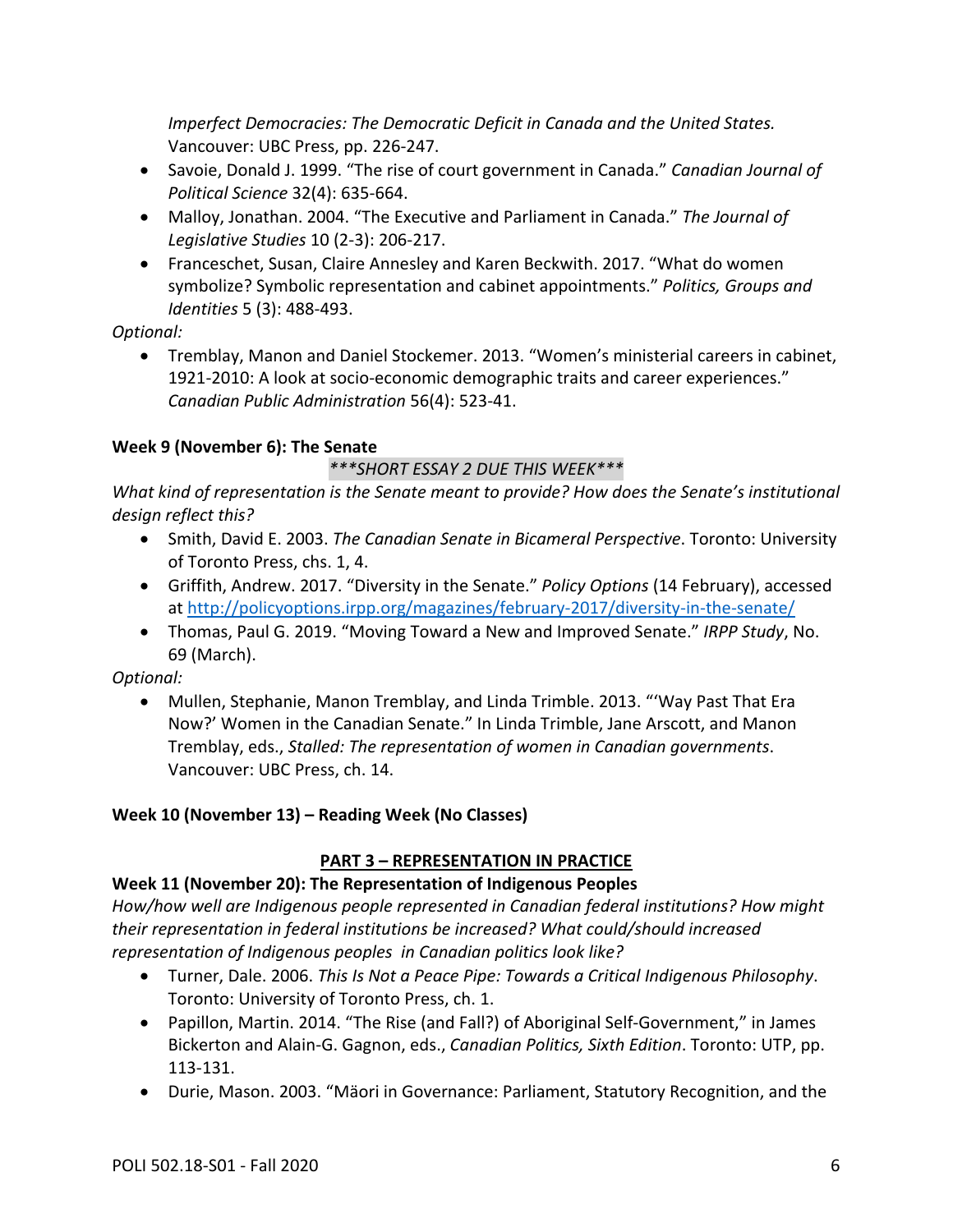*Imperfect Democracies: The Democratic Deficit in Canada and the United States.*  Vancouver: UBC Press, pp. 226-247.

- Savoie, Donald J. 1999. "The rise of court government in Canada." *Canadian Journal of Political Science* 32(4): 635-664.
- Malloy, Jonathan. 2004. "The Executive and Parliament in Canada." *The Journal of Legislative Studies* 10 (2-3): 206-217.
- Franceschet, Susan, Claire Annesley and Karen Beckwith. 2017. "What do women symbolize? Symbolic representation and cabinet appointments." *Politics, Groups and Identities* 5 (3): 488-493.

*Optional:* 

• Tremblay, Manon and Daniel Stockemer. 2013. "Women's ministerial careers in cabinet, 1921-2010: A look at socio-economic demographic traits and career experiences." *Canadian Public Administration* 56(4): 523-41.

## **Week 9 (November 6): The Senate**

# *\*\*\*SHORT ESSAY 2 DUE THIS WEEK\*\*\**

*What kind of representation is the Senate meant to provide? How does the Senate's institutional design reflect this?*

- Smith, David E. 2003. *The Canadian Senate in Bicameral Perspective*. Toronto: University of Toronto Press, chs. 1, 4.
- Griffith, Andrew. 2017. "Diversity in the Senate." *Policy Options* (14 February), accessed at<http://policyoptions.irpp.org/magazines/february-2017/diversity-in-the-senate/>
- Thomas, Paul G. 2019. "Moving Toward a New and Improved Senate." *IRPP Study*, No. 69 (March).

*Optional:*

• Mullen, Stephanie, Manon Tremblay, and Linda Trimble. 2013. "'Way Past That Era Now?' Women in the Canadian Senate." In Linda Trimble, Jane Arscott, and Manon Tremblay, eds., *Stalled: The representation of women in Canadian governments*. Vancouver: UBC Press, ch. 14.

## **Week 10 (November 13) – Reading Week (No Classes)**

## **PART 3 – REPRESENTATION IN PRACTICE**

# **Week 11 (November 20): The Representation of Indigenous Peoples**

*How/how well are Indigenous people represented in Canadian federal institutions? How might their representation in federal institutions be increased? What could/should increased representation of Indigenous peoples in Canadian politics look like?*

- Turner, Dale. 2006. *This Is Not a Peace Pipe: Towards a Critical Indigenous Philosophy*. Toronto: University of Toronto Press, ch. 1.
- Papillon, Martin. 2014. "The Rise (and Fall?) of Aboriginal Self-Government," in James Bickerton and Alain-G. Gagnon, eds., *Canadian Politics, Sixth Edition*. Toronto: UTP, pp. 113-131.
- Durie, Mason. 2003. "Mäori in Governance: Parliament, Statutory Recognition, and the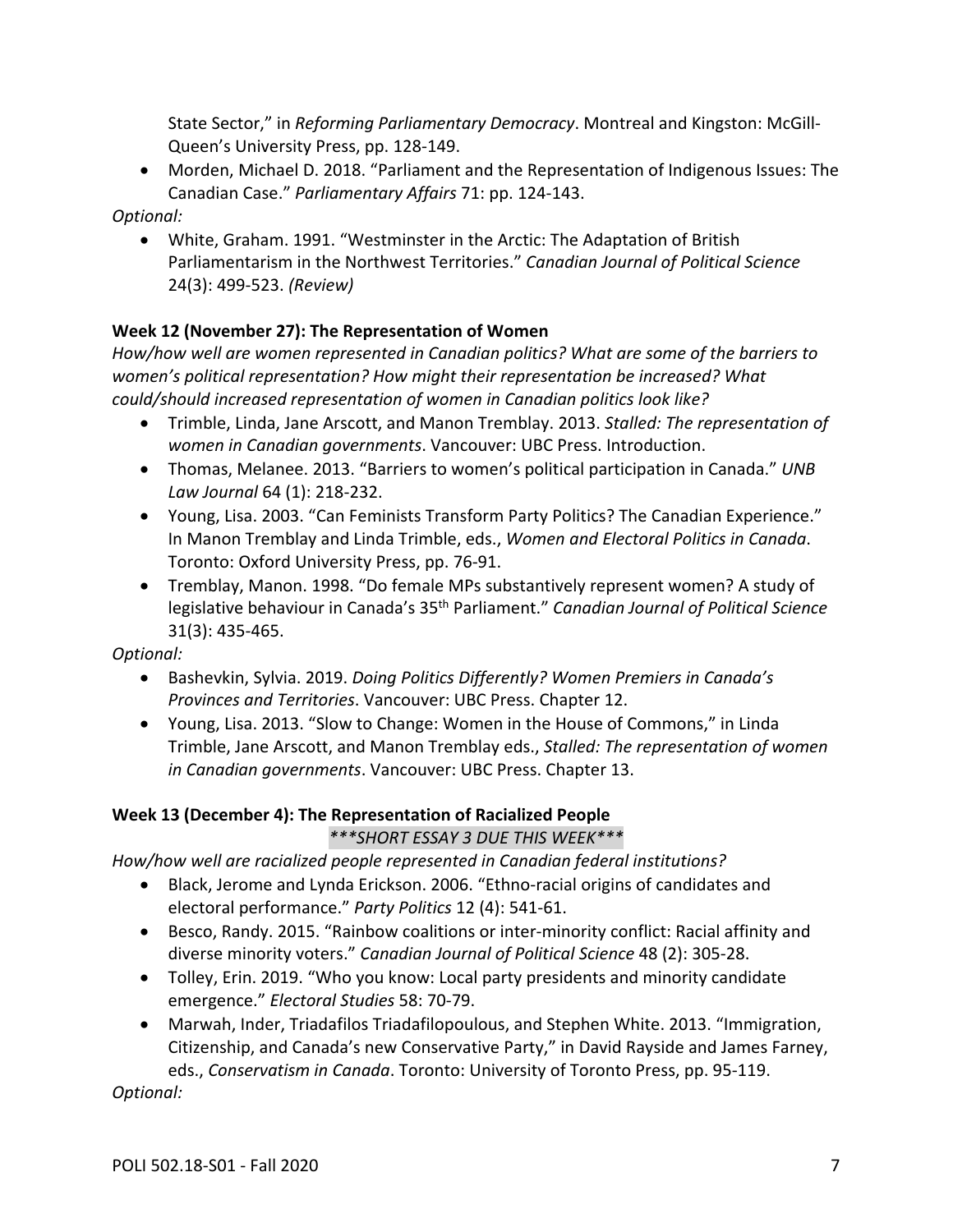State Sector," in *Reforming Parliamentary Democracy*. Montreal and Kingston: McGill-Queen's University Press, pp. 128-149.

• Morden, Michael D. 2018. "Parliament and the Representation of Indigenous Issues: The Canadian Case." *Parliamentary Affairs* 71: pp. 124-143.

*Optional:* 

• White, Graham. 1991. "Westminster in the Arctic: The Adaptation of British Parliamentarism in the Northwest Territories." *Canadian Journal of Political Science*  24(3): 499-523. *(Review)*

# **Week 12 (November 27): The Representation of Women**

*How/how well are women represented in Canadian politics? What are some of the barriers to women's political representation? How might their representation be increased? What could/should increased representation of women in Canadian politics look like?*

- Trimble, Linda, Jane Arscott, and Manon Tremblay. 2013. *Stalled: The representation of women in Canadian governments*. Vancouver: UBC Press. Introduction.
- Thomas, Melanee. 2013. "Barriers to women's political participation in Canada." *UNB Law Journal* 64 (1): 218-232.
- Young, Lisa. 2003. "Can Feminists Transform Party Politics? The Canadian Experience." In Manon Tremblay and Linda Trimble, eds., *Women and Electoral Politics in Canada*. Toronto: Oxford University Press, pp. 76-91.
- Tremblay, Manon. 1998. "Do female MPs substantively represent women? A study of legislative behaviour in Canada's 35th Parliament." *Canadian Journal of Political Science*  31(3): 435-465.

*Optional:* 

- Bashevkin, Sylvia. 2019. *Doing Politics Differently? Women Premiers in Canada's Provinces and Territories*. Vancouver: UBC Press. Chapter 12.
- Young, Lisa. 2013. "Slow to Change: Women in the House of Commons," in Linda Trimble, Jane Arscott, and Manon Tremblay eds., *Stalled: The representation of women in Canadian governments*. Vancouver: UBC Press. Chapter 13.

## **Week 13 (December 4): The Representation of Racialized People**

## *\*\*\*SHORT ESSAY 3 DUE THIS WEEK\*\*\**

*How/how well are racialized people represented in Canadian federal institutions?*

- Black, Jerome and Lynda Erickson. 2006. "Ethno-racial origins of candidates and electoral performance." *Party Politics* 12 (4): 541-61.
- Besco, Randy. 2015. "Rainbow coalitions or inter-minority conflict: Racial affinity and diverse minority voters." *Canadian Journal of Political Science* 48 (2): 305-28.
- Tolley, Erin. 2019. "Who you know: Local party presidents and minority candidate emergence." *Electoral Studies* 58: 70-79.
- Marwah, Inder, Triadafilos Triadafilopoulous, and Stephen White. 2013. "Immigration, Citizenship, and Canada's new Conservative Party," in David Rayside and James Farney, eds., *Conservatism in Canada*. Toronto: University of Toronto Press, pp. 95-119.

*Optional:*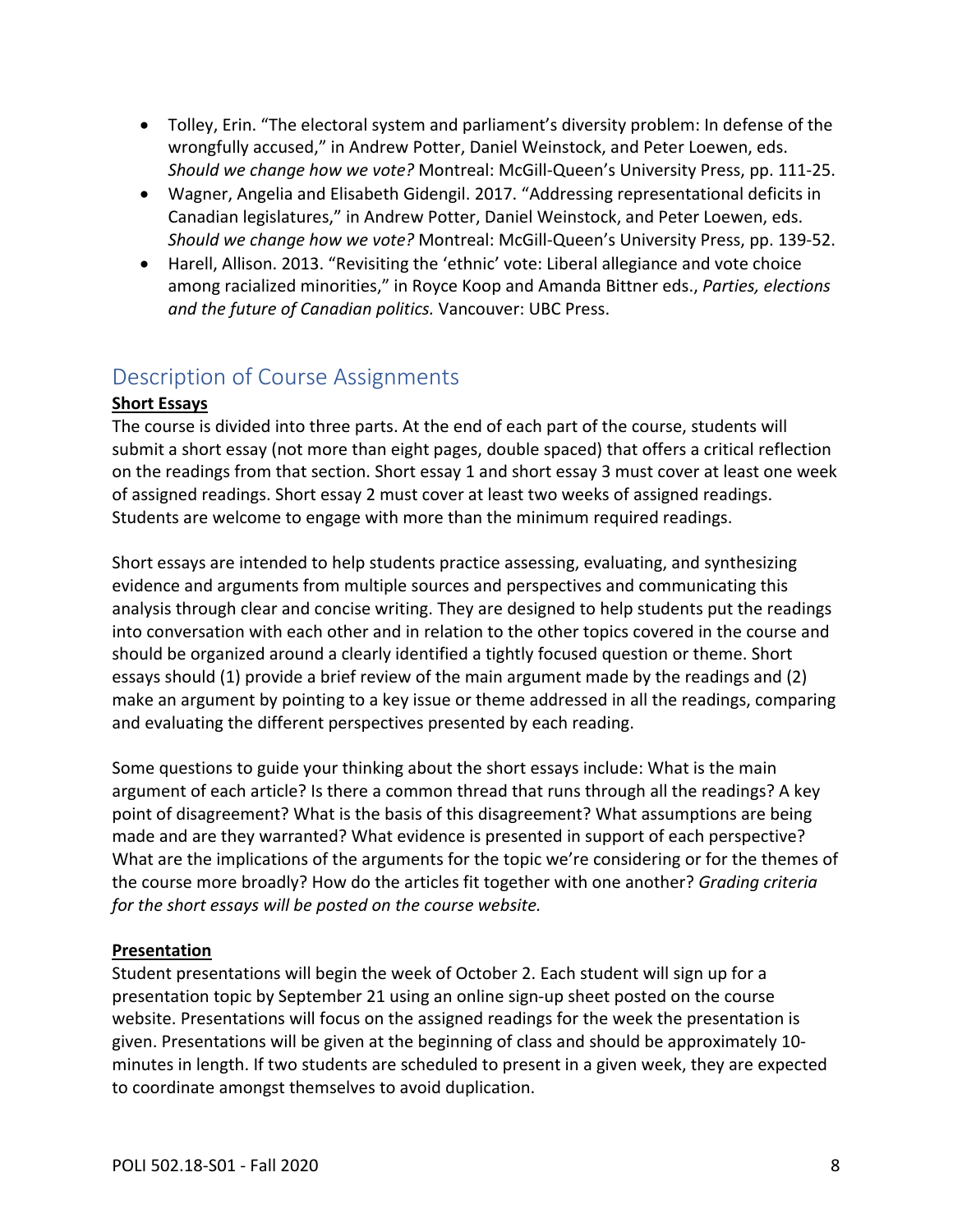- Tolley, Erin. "The electoral system and parliament's diversity problem: In defense of the wrongfully accused," in Andrew Potter, Daniel Weinstock, and Peter Loewen, eds. *Should we change how we vote?* Montreal: McGill-Queen's University Press, pp. 111-25.
- Wagner, Angelia and Elisabeth Gidengil. 2017. "Addressing representational deficits in Canadian legislatures," in Andrew Potter, Daniel Weinstock, and Peter Loewen, eds. *Should we change how we vote?* Montreal: McGill-Queen's University Press, pp. 139-52.
- Harell, Allison. 2013. "Revisiting the 'ethnic' vote: Liberal allegiance and vote choice among racialized minorities," in Royce Koop and Amanda Bittner eds., *Parties, elections and the future of Canadian politics.* Vancouver: UBC Press.

# <span id="page-7-0"></span>Description of Course Assignments

# **Short Essays**

The course is divided into three parts. At the end of each part of the course, students will submit a short essay (not more than eight pages, double spaced) that offers a critical reflection on the readings from that section. Short essay 1 and short essay 3 must cover at least one week of assigned readings. Short essay 2 must cover at least two weeks of assigned readings. Students are welcome to engage with more than the minimum required readings.

Short essays are intended to help students practice assessing, evaluating, and synthesizing evidence and arguments from multiple sources and perspectives and communicating this analysis through clear and concise writing. They are designed to help students put the readings into conversation with each other and in relation to the other topics covered in the course and should be organized around a clearly identified a tightly focused question or theme. Short essays should (1) provide a brief review of the main argument made by the readings and (2) make an argument by pointing to a key issue or theme addressed in all the readings, comparing and evaluating the different perspectives presented by each reading.

Some questions to guide your thinking about the short essays include: What is the main argument of each article? Is there a common thread that runs through all the readings? A key point of disagreement? What is the basis of this disagreement? What assumptions are being made and are they warranted? What evidence is presented in support of each perspective? What are the implications of the arguments for the topic we're considering or for the themes of the course more broadly? How do the articles fit together with one another? *Grading criteria for the short essays will be posted on the course website.* 

## **Presentation**

Student presentations will begin the week of October 2. Each student will sign up for a presentation topic by September 21 using an online sign-up sheet posted on the course website. Presentations will focus on the assigned readings for the week the presentation is given. Presentations will be given at the beginning of class and should be approximately 10 minutes in length. If two students are scheduled to present in a given week, they are expected to coordinate amongst themselves to avoid duplication.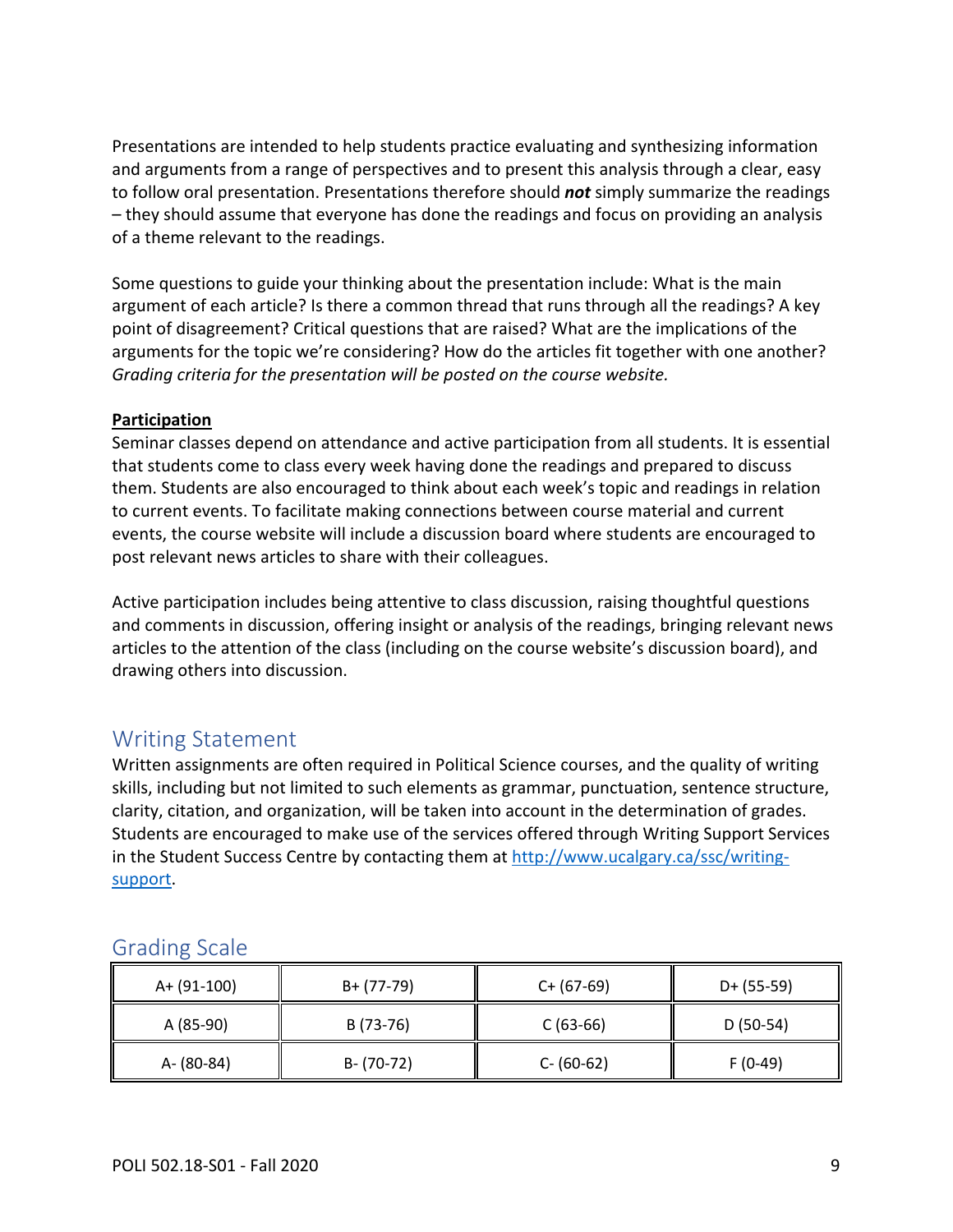Presentations are intended to help students practice evaluating and synthesizing information and arguments from a range of perspectives and to present this analysis through a clear, easy to follow oral presentation. Presentations therefore should *not* simply summarize the readings – they should assume that everyone has done the readings and focus on providing an analysis of a theme relevant to the readings.

Some questions to guide your thinking about the presentation include: What is the main argument of each article? Is there a common thread that runs through all the readings? A key point of disagreement? Critical questions that are raised? What are the implications of the arguments for the topic we're considering? How do the articles fit together with one another? *Grading criteria for the presentation will be posted on the course website.* 

#### **Participation**

Seminar classes depend on attendance and active participation from all students. It is essential that students come to class every week having done the readings and prepared to discuss them. Students are also encouraged to think about each week's topic and readings in relation to current events. To facilitate making connections between course material and current events, the course website will include a discussion board where students are encouraged to post relevant news articles to share with their colleagues.

Active participation includes being attentive to class discussion, raising thoughtful questions and comments in discussion, offering insight or analysis of the readings, bringing relevant news articles to the attention of the class (including on the course website's discussion board), and drawing others into discussion.

# <span id="page-8-0"></span>Writing Statement

Written assignments are often required in Political Science courses, and the quality of writing skills, including but not limited to such elements as grammar, punctuation, sentence structure, clarity, citation, and organization, will be taken into account in the determination of grades. Students are encouraged to make use of the services offered through Writing Support Services in the Student Success Centre by contacting them at [http://www.ucalgary.ca/ssc/writing](http://www.ucalgary.ca/ssc/writing-support)[support.](http://www.ucalgary.ca/ssc/writing-support)

| A+ (91-100) | B+ (77-79)    | $C+ (67-69)$  | $D+ (55-59)$ |
|-------------|---------------|---------------|--------------|
| A (85-90)   | B (73-76)     | $C(63-66)$    | $D(50-54)$   |
| A- (80-84)  | $B - (70-72)$ | $C - (60-62)$ | $F(0-49)$    |

# <span id="page-8-1"></span>Grading Scale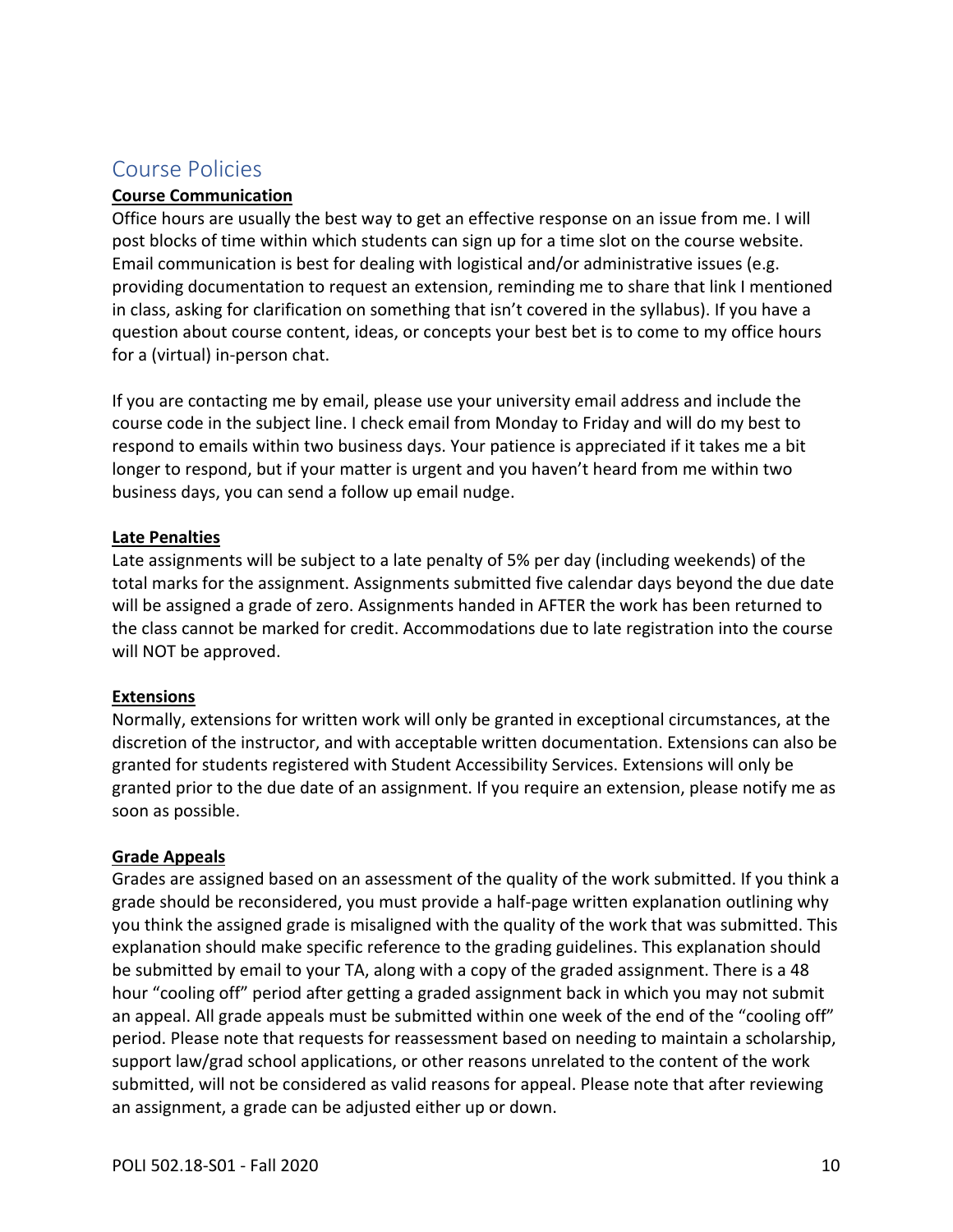# <span id="page-9-0"></span>Course Policies

#### **Course Communication**

Office hours are usually the best way to get an effective response on an issue from me. I will post blocks of time within which students can sign up for a time slot on the course website. Email communication is best for dealing with logistical and/or administrative issues (e.g. providing documentation to request an extension, reminding me to share that link I mentioned in class, asking for clarification on something that isn't covered in the syllabus). If you have a question about course content, ideas, or concepts your best bet is to come to my office hours for a (virtual) in-person chat.

If you are contacting me by email, please use your university email address and include the course code in the subject line. I check email from Monday to Friday and will do my best to respond to emails within two business days. Your patience is appreciated if it takes me a bit longer to respond, but if your matter is urgent and you haven't heard from me within two business days, you can send a follow up email nudge.

#### **Late Penalties**

Late assignments will be subject to a late penalty of 5% per day (including weekends) of the total marks for the assignment. Assignments submitted five calendar days beyond the due date will be assigned a grade of zero. Assignments handed in AFTER the work has been returned to the class cannot be marked for credit. Accommodations due to late registration into the course will NOT be approved.

## **Extensions**

Normally, extensions for written work will only be granted in exceptional circumstances, at the discretion of the instructor, and with acceptable written documentation. Extensions can also be granted for students registered with Student Accessibility Services. Extensions will only be granted prior to the due date of an assignment. If you require an extension, please notify me as soon as possible.

#### **Grade Appeals**

Grades are assigned based on an assessment of the quality of the work submitted. If you think a grade should be reconsidered, you must provide a half-page written explanation outlining why you think the assigned grade is misaligned with the quality of the work that was submitted. This explanation should make specific reference to the grading guidelines. This explanation should be submitted by email to your TA, along with a copy of the graded assignment. There is a 48 hour "cooling off" period after getting a graded assignment back in which you may not submit an appeal. All grade appeals must be submitted within one week of the end of the "cooling off" period. Please note that requests for reassessment based on needing to maintain a scholarship, support law/grad school applications, or other reasons unrelated to the content of the work submitted, will not be considered as valid reasons for appeal. Please note that after reviewing an assignment, a grade can be adjusted either up or down.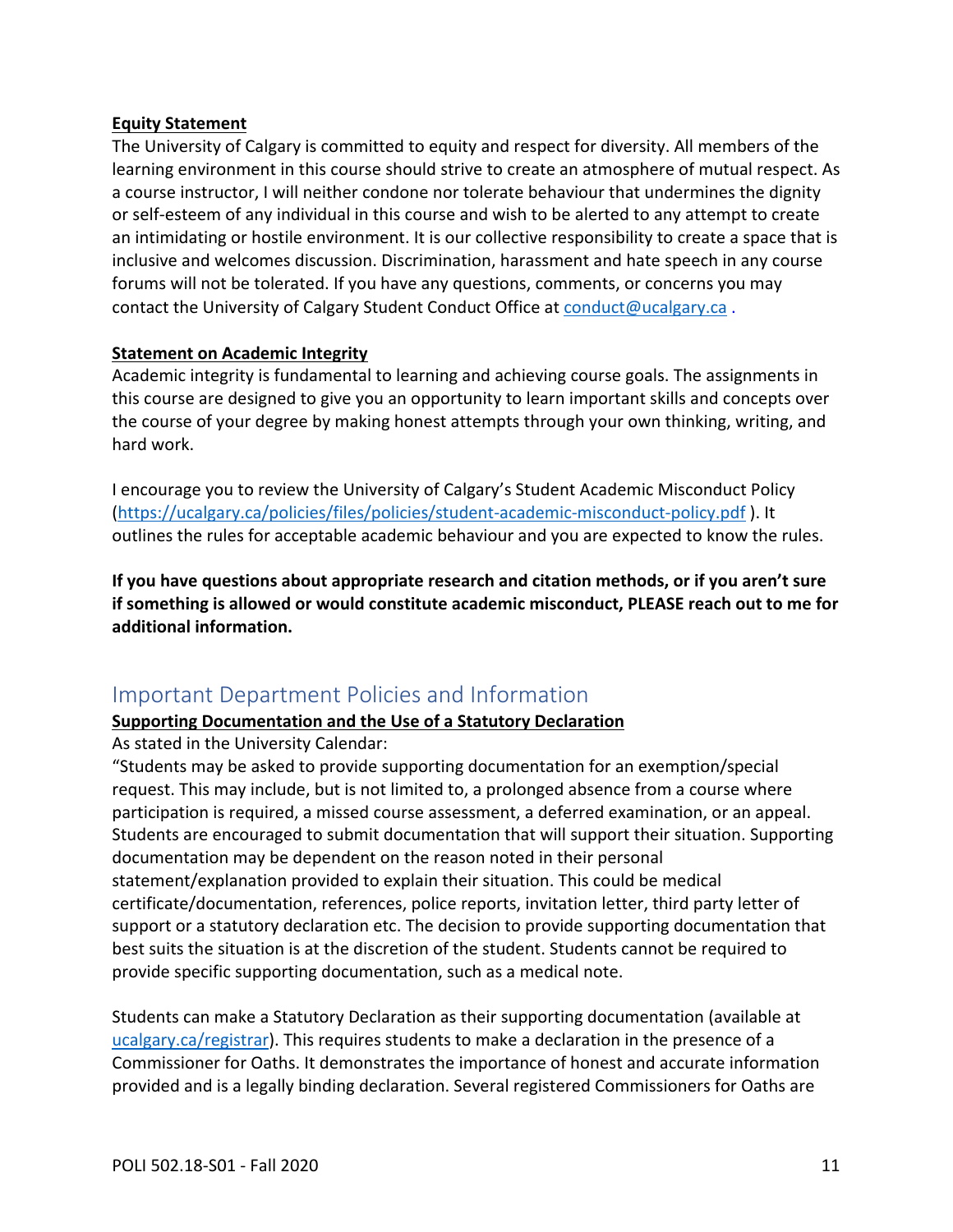#### **Equity Statement**

The University of Calgary is committed to equity and respect for diversity. All members of the learning environment in this course should strive to create an atmosphere of mutual respect. As a course instructor, I will neither condone nor tolerate behaviour that undermines the dignity or self-esteem of any individual in this course and wish to be alerted to any attempt to create an intimidating or hostile environment. It is our collective responsibility to create a space that is inclusive and welcomes discussion. Discrimination, harassment and hate speech in any course forums will not be tolerated. If you have any questions, comments, or concerns you may contact the University of Calgary Student Conduct Office at [conduct@ucalgary.ca](mailto:conduct@ucalgary.ca) .

#### **Statement on Academic Integrity**

Academic integrity is fundamental to learning and achieving course goals. The assignments in this course are designed to give you an opportunity to learn important skills and concepts over the course of your degree by making honest attempts through your own thinking, writing, and hard work.

I encourage you to review the University of Calgary's Student Academic Misconduct Policy [\(https://ucalgary.ca/policies/files/policies/student-academic-misconduct-policy.pdf](https://ucalgary.ca/policies/files/policies/student-academic-misconduct-policy.pdf) ). It outlines the rules for acceptable academic behaviour and you are expected to know the rules.

**If you have questions about appropriate research and citation methods, or if you aren't sure if something is allowed or would constitute academic misconduct, PLEASE reach out to me for additional information.** 

# <span id="page-10-0"></span>Important Department Policies and Information

## **Supporting Documentation and the Use of a Statutory Declaration**

As stated in the University Calendar:

"Students may be asked to provide supporting documentation for an exemption/special request. This may include, but is not limited to, a prolonged absence from a course where participation is required, a missed course assessment, a deferred examination, or an appeal. Students are encouraged to submit documentation that will support their situation. Supporting documentation may be dependent on the reason noted in their personal statement/explanation provided to explain their situation. This could be medical certificate/documentation, references, police reports, invitation letter, third party letter of support or a statutory declaration etc. The decision to provide supporting documentation that best suits the situation is at the discretion of the student. Students cannot be required to provide specific supporting documentation, such as a medical note.

Students can make a Statutory Declaration as their supporting documentation (available at [ucalgary.ca/registrar\)](http://www.ucalgary.ca/registrar). This requires students to make a declaration in the presence of a Commissioner for Oaths. It demonstrates the importance of honest and accurate information provided and is a legally binding declaration. Several registered Commissioners for Oaths are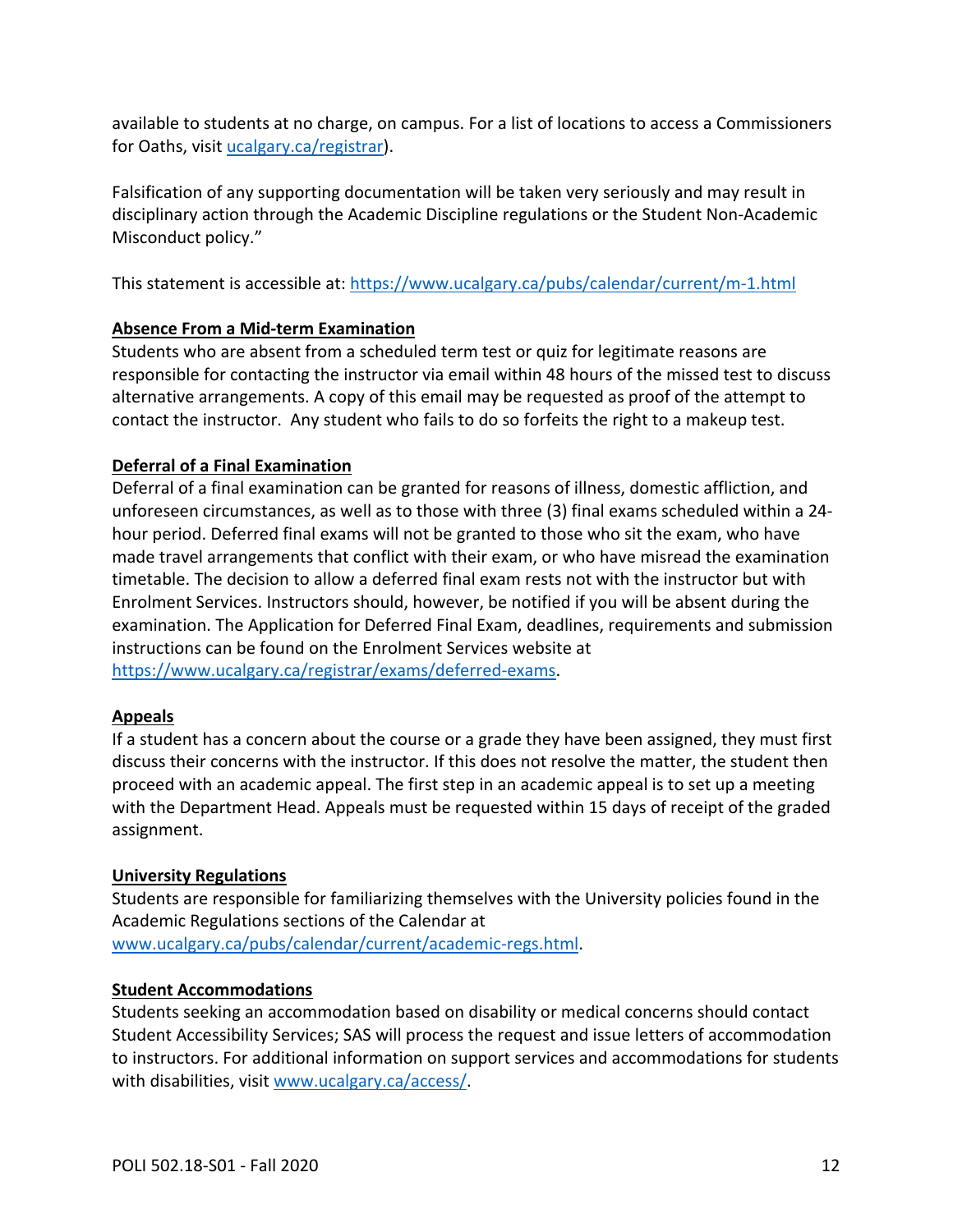available to students at no charge, on campus. For a list of locations to access a Commissioners for Oaths, visit [ucalgary.ca/registrar\)](http://www.ucalgary.ca/registrar).

Falsification of any supporting documentation will be taken very seriously and may result in disciplinary action through the Academic Discipline regulations or the Student Non-Academic Misconduct policy."

This statement is accessible at:<https://www.ucalgary.ca/pubs/calendar/current/m-1.html>

# **Absence From a Mid-term Examination**

Students who are absent from a scheduled term test or quiz for legitimate reasons are responsible for contacting the instructor via email within 48 hours of the missed test to discuss alternative arrangements. A copy of this email may be requested as proof of the attempt to contact the instructor. Any student who fails to do so forfeits the right to a makeup test.

# **Deferral of a Final Examination**

Deferral of a final examination can be granted for reasons of illness, domestic affliction, and unforeseen circumstances, as well as to those with three (3) final exams scheduled within a 24 hour period. Deferred final exams will not be granted to those who sit the exam, who have made travel arrangements that conflict with their exam, or who have misread the examination timetable. The decision to allow a deferred final exam rests not with the instructor but with Enrolment Services. Instructors should, however, be notified if you will be absent during the examination. The Application for Deferred Final Exam, deadlines, requirements and submission instructions can be found on the Enrolment Services website at [https://www.ucalgary.ca/registrar/exams/deferred-exams.](https://www.ucalgary.ca/registrar/exams/deferred-exams)

## **Appeals**

If a student has a concern about the course or a grade they have been assigned, they must first discuss their concerns with the instructor. If this does not resolve the matter, the student then proceed with an academic appeal. The first step in an academic appeal is to set up a meeting with the Department Head. Appeals must be requested within 15 days of receipt of the graded assignment.

## **University Regulations**

Students are responsible for familiarizing themselves with the University policies found in the Academic Regulations sections of the Calendar at [www.ucalgary.ca/pubs/calendar/current/academic-regs.html.](http://www.ucalgary.ca/pubs/calendar/current/academic-regs.html)

## **Student Accommodations**

Students seeking an accommodation based on disability or medical concerns should contact Student Accessibility Services; SAS will process the request and issue letters of accommodation to instructors. For additional information on support services and accommodations for students with disabilities, visit [www.ucalgary.ca/access/.](http://www.ucalgary.ca/access/)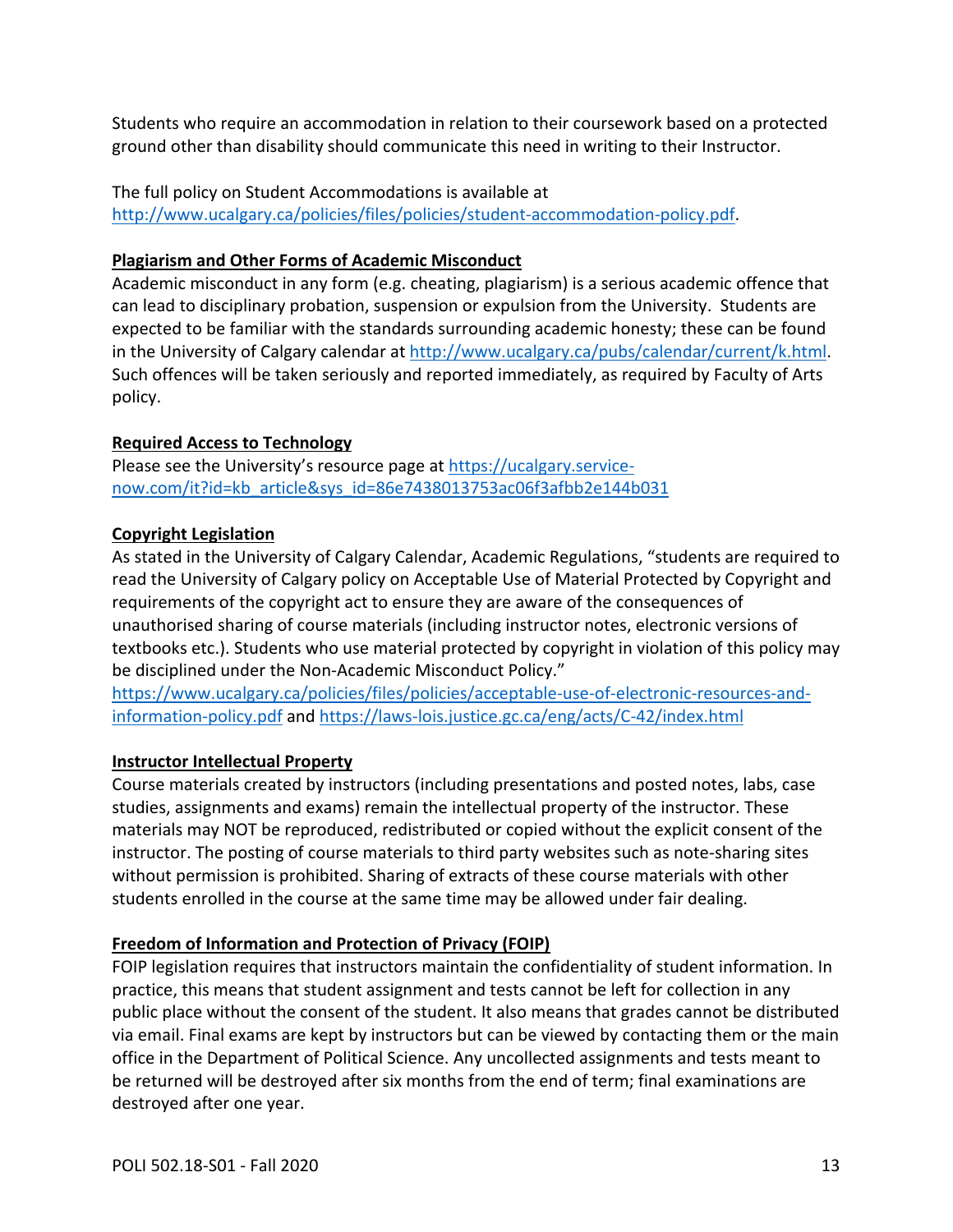Students who require an accommodation in relation to their coursework based on a protected ground other than disability should communicate this need in writing to their Instructor.

The full policy on Student Accommodations is available at [http://www.ucalgary.ca/policies/files/policies/student-accommodation-policy.pdf.](http://www.ucalgary.ca/policies/files/policies/student-accommodation-policy.pdf)

## **Plagiarism and Other Forms of Academic Misconduct**

Academic misconduct in any form (e.g. cheating, plagiarism) is a serious academic offence that can lead to disciplinary probation, suspension or expulsion from the University. Students are expected to be familiar with the standards surrounding academic honesty; these can be found in the University of Calgary calendar at [http://www.ucalgary.ca/pubs/calendar/current/k.html.](http://www.ucalgary.ca/pubs/calendar/current/k.html) Such offences will be taken seriously and reported immediately, as required by Faculty of Arts policy.

# **Required Access to Technology**

Please see the University's resource page at [https://ucalgary.service](https://ucalgary.service-now.com/it?id=kb_article&sys_id=86e7438013753ac06f3afbb2e144b031)[now.com/it?id=kb\\_article&sys\\_id=86e7438013753ac06f3afbb2e144b031](https://ucalgary.service-now.com/it?id=kb_article&sys_id=86e7438013753ac06f3afbb2e144b031)

# **Copyright Legislation**

As stated in the University of Calgary Calendar, Academic Regulations, "students are required to read the University of Calgary policy on Acceptable Use of Material Protected by Copyright and requirements of the copyright act to ensure they are aware of the consequences of unauthorised sharing of course materials (including instructor notes, electronic versions of textbooks etc.). Students who use material protected by copyright in violation of this policy may be disciplined under the Non-Academic Misconduct Policy."

[https://www.ucalgary.ca/policies/files/policies/acceptable-use-of-electronic-resources-and](https://www.ucalgary.ca/policies/files/policies/acceptable-use-of-electronic-resources-and-information-policy.pdf)[information-policy.pdf](https://www.ucalgary.ca/policies/files/policies/acceptable-use-of-electronic-resources-and-information-policy.pdf) and<https://laws-lois.justice.gc.ca/eng/acts/C-42/index.html>

# **Instructor Intellectual Property**

Course materials created by instructors (including presentations and posted notes, labs, case studies, assignments and exams) remain the intellectual property of the instructor. These materials may NOT be reproduced, redistributed or copied without the explicit consent of the instructor. The posting of course materials to third party websites such as note-sharing sites without permission is prohibited. Sharing of extracts of these course materials with other students enrolled in the course at the same time may be allowed under fair dealing.

# **Freedom of Information and Protection of Privacy (FOIP)**

FOIP legislation requires that instructors maintain the confidentiality of student information. In practice, this means that student assignment and tests cannot be left for collection in any public place without the consent of the student. It also means that grades cannot be distributed via email. Final exams are kept by instructors but can be viewed by contacting them or the main office in the Department of Political Science. Any uncollected assignments and tests meant to be returned will be destroyed after six months from the end of term; final examinations are destroyed after one year.